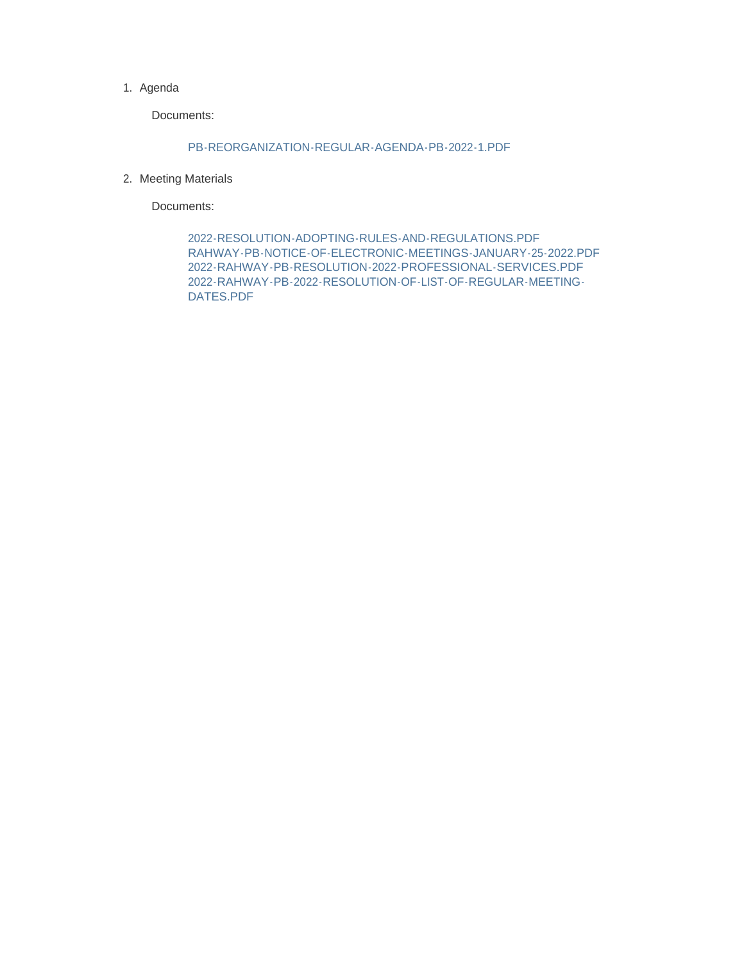#### 1. Agenda

Documents:

#### PB-REORGANIZATION-REGULAR-AGENDA-PB-2022-1.PDF

2. Meeting Materials

Documents:

2022-RESOLUTION-ADOPTING-RULES-AND-REGULATIONS.PDF RAHWAY-PB-NOTICE-OF-ELECTRONIC-MEETINGS-JANUARY-25-2022.PDF 2022-RAHWAY-PB-RESOLUTION-2022-PROFESSIONAL-SERVICES.PDF 2022-RAHWAY-PB-2022-RESOLUTION-OF-LIST-OF-REGULAR-MEETING-DATES.PDF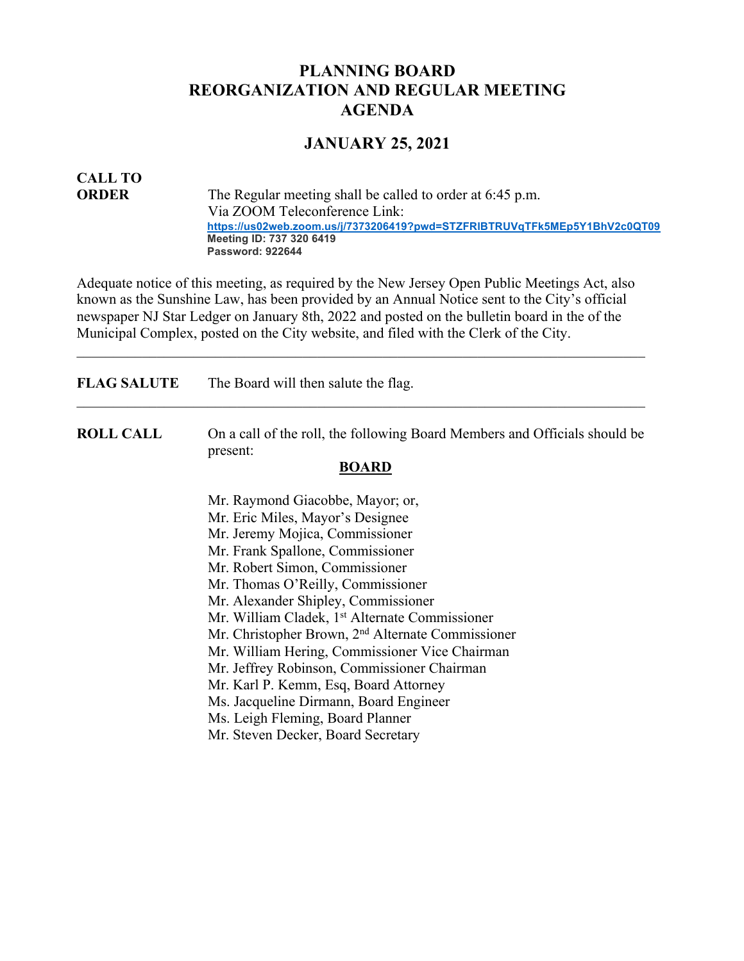# **PLANNING BOARD REORGANIZATION AND REGULAR MEETING AGENDA**

# **JANUARY 25, 2021**

# **CALL TO**

**ORDER** The Regular meeting shall be called to order at 6:45 p.m. Via ZOOM Teleconference Link: **https://us02web.zoom.us/j/7373206419?pwd=STZFRlBTRUVqTFk5MEp5Y1BhV2c0QT09 Meeting ID: 737 320 6419 Password: 922644**

Adequate notice of this meeting, as required by the New Jersey Open Public Meetings Act, also known as the Sunshine Law, has been provided by an Annual Notice sent to the City's official newspaper NJ Star Ledger on January 8th, 2022 and posted on the bulletin board in the of the Municipal Complex, posted on the City website, and filed with the Clerk of the City.

| <b>FLAG SALUTE</b> | The Board will then salute the flag.                                                            |
|--------------------|-------------------------------------------------------------------------------------------------|
| <b>ROLL CALL</b>   | On a call of the roll, the following Board Members and Officials should be<br>present:<br>BOARD |
|                    | Mr. Raymond Giacobbe, Mayor; or,                                                                |
|                    | Mr. Eric Miles, Mayor's Designee                                                                |
|                    | Mr. Jeremy Mojica, Commissioner                                                                 |
|                    | Mr. Frank Spallone, Commissioner                                                                |
|                    | Mr. Robert Simon, Commissioner                                                                  |
|                    | Mr. Thomas O'Reilly, Commissioner                                                               |
|                    | Mr. Alexander Shipley, Commissioner                                                             |
|                    | Mr. William Cladek, 1 <sup>st</sup> Alternate Commissioner                                      |
|                    | Mr. Christopher Brown, 2 <sup>nd</sup> Alternate Commissioner                                   |
|                    | Mr. William Hering, Commissioner Vice Chairman                                                  |
|                    | Mr. Jeffrey Robinson, Commissioner Chairman                                                     |
|                    | Mr. Karl P. Kemm, Esq, Board Attorney                                                           |
|                    | Ms. Jacqueline Dirmann, Board Engineer                                                          |
|                    | Ms. Leigh Fleming, Board Planner                                                                |
|                    | Mr. Steven Decker, Board Secretary                                                              |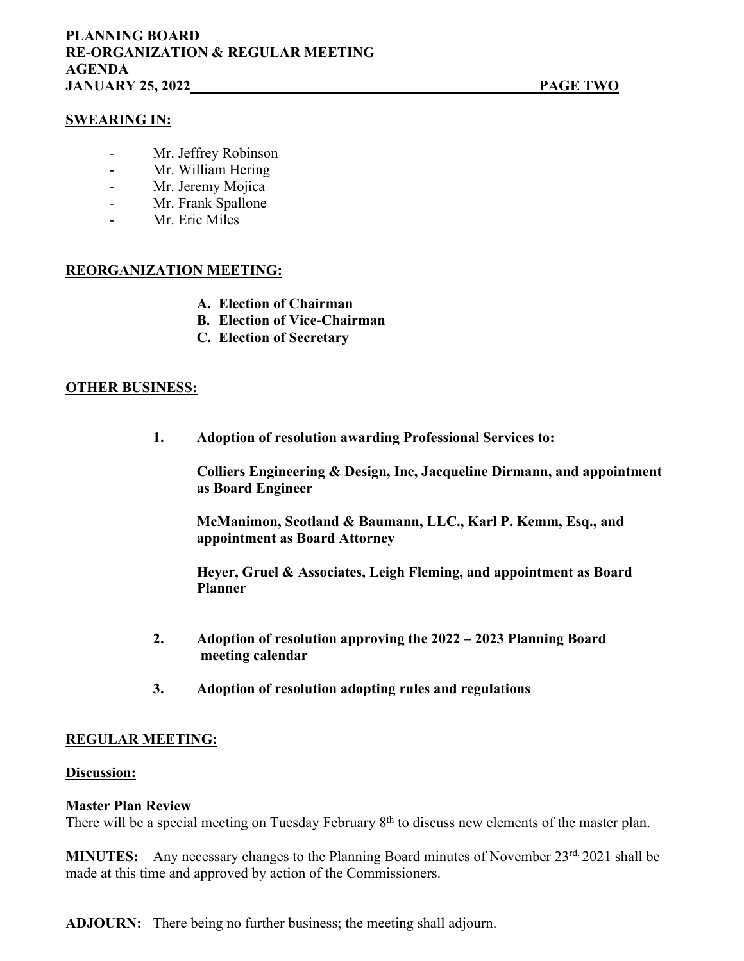## **SWEARING IN:**

- Mr. Jeffrey Robinson
- Mr. William Hering
- Mr. Jeremy Mojica
- Mr. Frank Spallone
- Mr. Eric Miles

## **REORGANIZATION MEETING:**

- **A. Election of Chairman**
- **B. Election of Vice-Chairman**
- **C. Election of Secretary**

#### **OTHER BUSINESS:**

**1. Adoption of resolution awarding Professional Services to:**

**Colliers Engineering & Design, Inc, Jacqueline Dirmann, and appointment as Board Engineer**

**McManimon, Scotland & Baumann, LLC., Karl P. Kemm, Esq., and appointment as Board Attorney**

**Heyer, Gruel & Associates, Leigh Fleming, and appointment as Board Planner**

- **2. Adoption of resolution approving the 2022 – 2023 Planning Board meeting calendar**
- **3. Adoption of resolution adopting rules and regulations**

#### **REGULAR MEETING:**

#### **Discussion:**

#### **Master Plan Review**

There will be a special meeting on Tuesday February  $8<sup>th</sup>$  to discuss new elements of the master plan.

**MINUTES:** Any necessary changes to the Planning Board minutes of November 23<sup>rd, 2021 shall be</sup> made at this time and approved by action of the Commissioners.

**ADJOURN:** There being no further business; the meeting shall adjourn.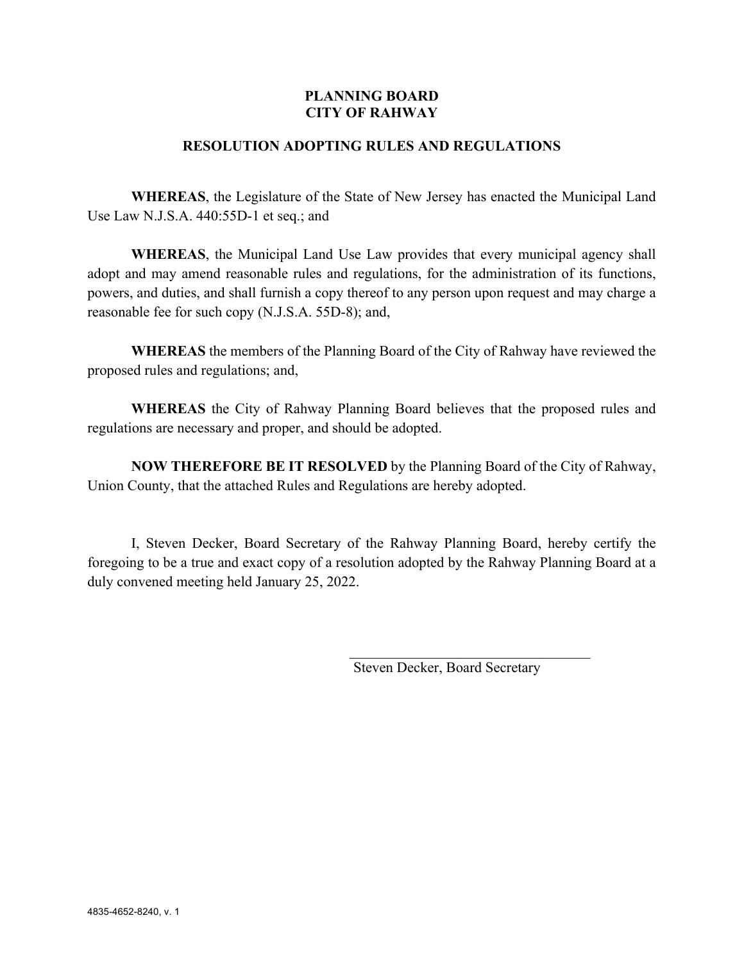# **PLANNING BOARD CITY OF RAHWAY**

# **RESOLUTION ADOPTING RULES AND REGULATIONS**

**WHEREAS**, the Legislature of the State of New Jersey has enacted the Municipal Land Use Law N.J.S.A. 440:55D-1 et seq.; and

**WHEREAS**, the Municipal Land Use Law provides that every municipal agency shall adopt and may amend reasonable rules and regulations, for the administration of its functions, powers, and duties, and shall furnish a copy thereof to any person upon request and may charge a reasonable fee for such copy (N.J.S.A. 55D-8); and,

**WHEREAS** the members of the Planning Board of the City of Rahway have reviewed the proposed rules and regulations; and,

**WHEREAS** the City of Rahway Planning Board believes that the proposed rules and regulations are necessary and proper, and should be adopted.

**NOW THEREFORE BE IT RESOLVED** by the Planning Board of the City of Rahway, Union County, that the attached Rules and Regulations are hereby adopted.

I, Steven Decker, Board Secretary of the Rahway Planning Board, hereby certify the foregoing to be a true and exact copy of a resolution adopted by the Rahway Planning Board at a duly convened meeting held January 25, 2022.

Steven Decker, Board Secretary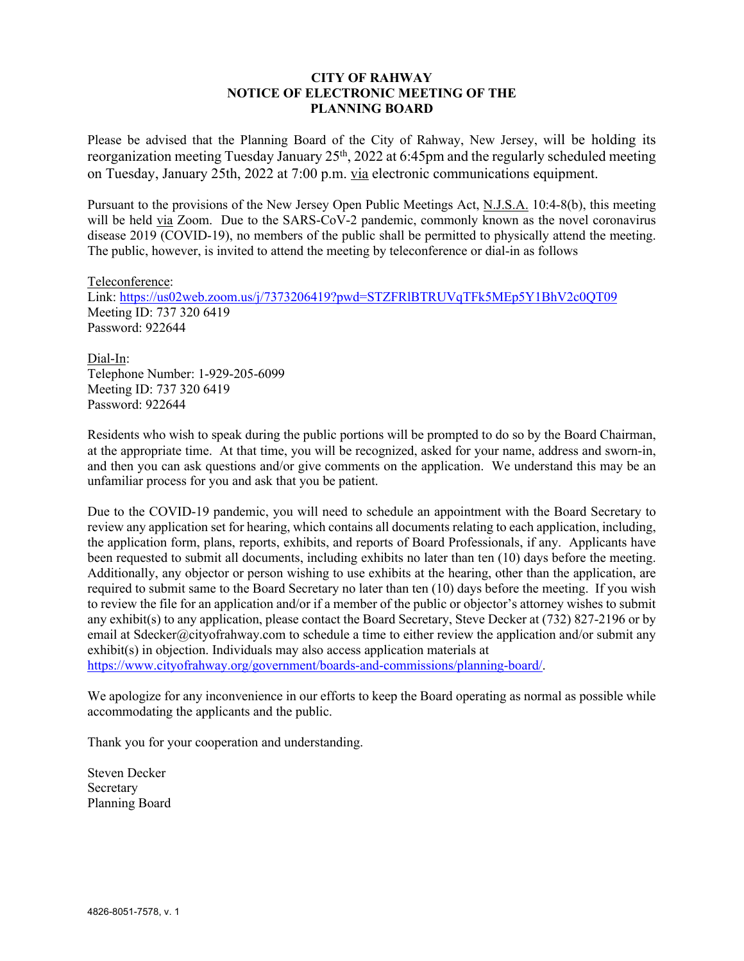#### **CITY OF RAHWAY NOTICE OF ELECTRONIC MEETING OF THE PLANNING BOARD**

Please be advised that the Planning Board of the City of Rahway, New Jersey, will be holding its reorganization meeting Tuesday January  $25<sup>th</sup>$ , 2022 at 6:45pm and the regularly scheduled meeting on Tuesday, January 25th, 2022 at 7:00 p.m. via electronic communications equipment.

Pursuant to the provisions of the New Jersey Open Public Meetings Act, N.J.S.A. 10:4-8(b), this meeting will be held via Zoom. Due to the SARS-CoV-2 pandemic, commonly known as the novel coronavirus disease 2019 (COVID-19), no members of the public shall be permitted to physically attend the meeting. The public, however, is invited to attend the meeting by teleconference or dial-in as follows

Teleconference: Link: https://us02web.zoom.us/j/7373206419?pwd=STZFRlBTRUVqTFk5MEp5Y1BhV2c0QT09 Meeting ID: 737 320 6419 Password: 922644

Dial-In: Telephone Number: 1-929-205-6099 Meeting ID: 737 320 6419 Password: 922644

Residents who wish to speak during the public portions will be prompted to do so by the Board Chairman, at the appropriate time. At that time, you will be recognized, asked for your name, address and sworn-in, and then you can ask questions and/or give comments on the application. We understand this may be an unfamiliar process for you and ask that you be patient.

Due to the COVID-19 pandemic, you will need to schedule an appointment with the Board Secretary to review any application set for hearing, which contains all documents relating to each application, including, the application form, plans, reports, exhibits, and reports of Board Professionals, if any. Applicants have been requested to submit all documents, including exhibits no later than ten (10) days before the meeting. Additionally, any objector or person wishing to use exhibits at the hearing, other than the application, are required to submit same to the Board Secretary no later than ten (10) days before the meeting. If you wish to review the file for an application and/or if a member of the public or objector's attorney wishes to submit any exhibit(s) to any application, please contact the Board Secretary, Steve Decker at (732) 827-2196 or by email at Sdecker@cityofrahway.com to schedule a time to either review the application and/or submit any exhibit(s) in objection. Individuals may also access application materials at https://www.cityofrahway.org/government/boards-and-commissions/planning-board/.

We apologize for any inconvenience in our efforts to keep the Board operating as normal as possible while accommodating the applicants and the public.

Thank you for your cooperation and understanding.

Steven Decker Secretary Planning Board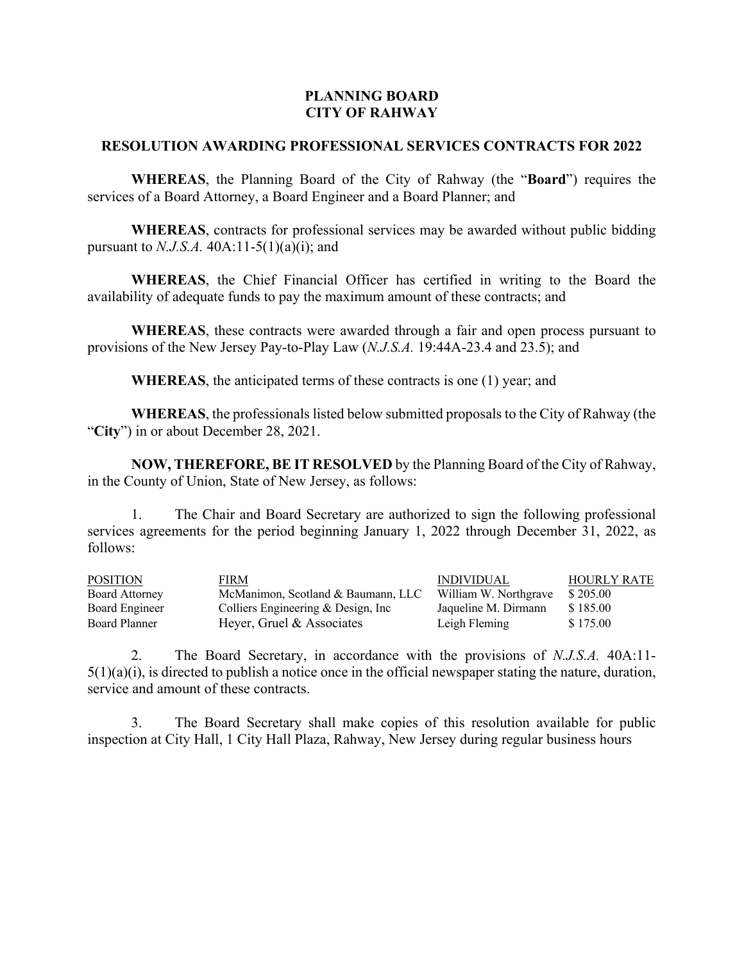## **PLANNING BOARD CITY OF RAHWAY**

## **RESOLUTION AWARDING PROFESSIONAL SERVICES CONTRACTS FOR 2022**

**WHEREAS**, the Planning Board of the City of Rahway (the "**Board**") requires the services of a Board Attorney, a Board Engineer and a Board Planner; and

**WHEREAS**, contracts for professional services may be awarded without public bidding pursuant to *N.J.S.A.* 40A:11-5(1)(a)(i); and

**WHEREAS**, the Chief Financial Officer has certified in writing to the Board the availability of adequate funds to pay the maximum amount of these contracts; and

**WHEREAS**, these contracts were awarded through a fair and open process pursuant to provisions of the New Jersey Pay-to-Play Law (*N.J.S.A.* 19:44A-23.4 and 23.5); and

**WHEREAS**, the anticipated terms of these contracts is one (1) year; and

**WHEREAS**, the professionals listed below submitted proposals to the City of Rahway (the "**City**") in or about December 28, 2021.

**NOW, THEREFORE, BE IT RESOLVED** by the Planning Board of the City of Rahway, in the County of Union, State of New Jersey, as follows:

1. The Chair and Board Secretary are authorized to sign the following professional services agreements for the period beginning January 1, 2022 through December 31, 2022, as follows:

| <b>POSITION</b>       | FIRM                                 | <b>INDIVIDUAL</b>     | <b>HOURLY RATE</b> |
|-----------------------|--------------------------------------|-----------------------|--------------------|
| <b>Board Attorney</b> | McManimon, Scotland & Baumann, LLC   | William W. Northgrave | \$205.00           |
| Board Engineer        | Colliers Engineering $&$ Design, Inc | Jaqueline M. Dirmann  | \$185.00           |
| Board Planner         | Heyer, Gruel & Associates            | Leigh Fleming         | \$175.00           |

2. The Board Secretary, in accordance with the provisions of *N.J.S.A.* 40A:11-  $5(1)(a)(i)$ , is directed to publish a notice once in the official newspaper stating the nature, duration, service and amount of these contracts.

3. The Board Secretary shall make copies of this resolution available for public inspection at City Hall, 1 City Hall Plaza, Rahway, New Jersey during regular business hours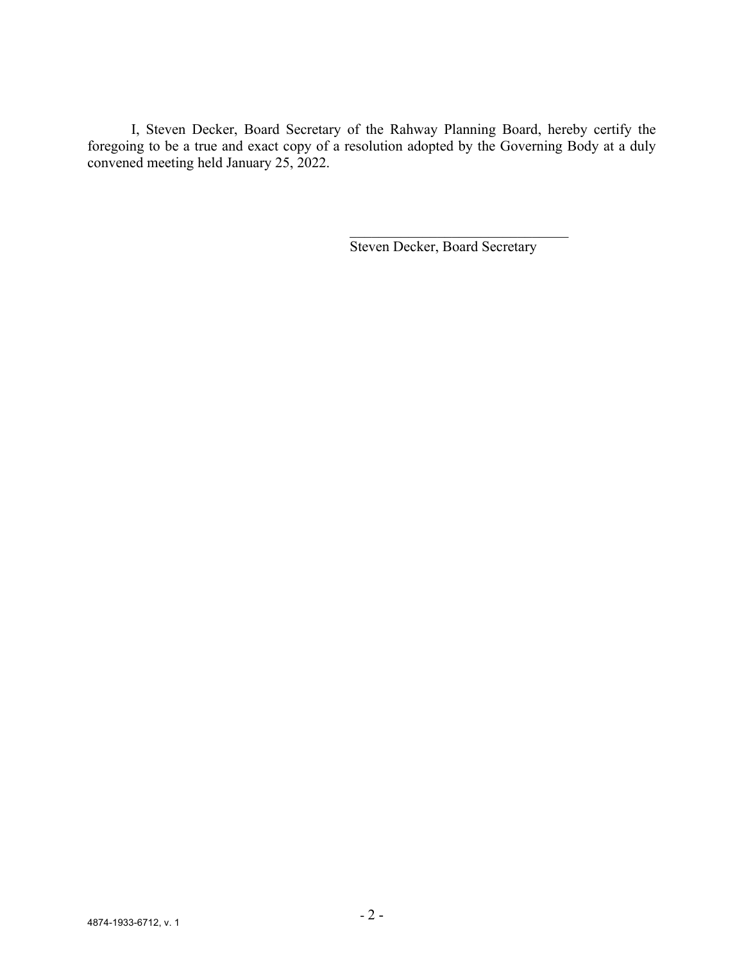I, Steven Decker, Board Secretary of the Rahway Planning Board, hereby certify the foregoing to be a true and exact copy of a resolution adopted by the Governing Body at a duly convened meeting held January 25, 2022.

Steven Decker, Board Secretary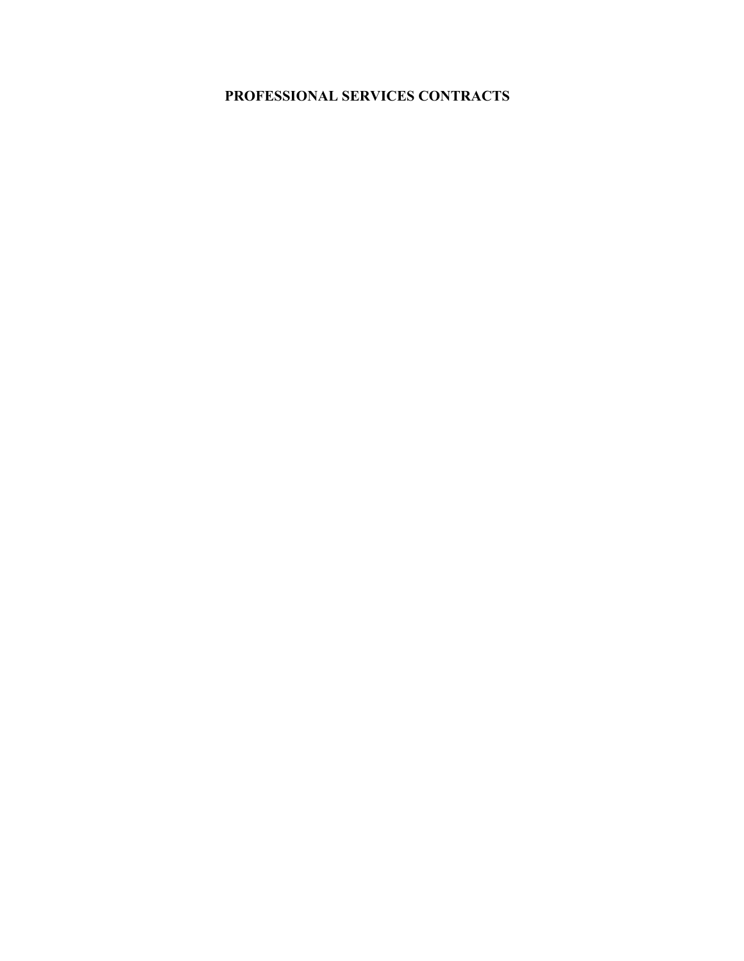# **PROFESSIONAL SERVICES CONTRACTS**